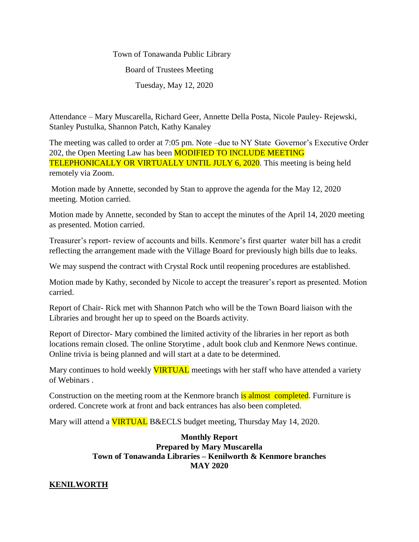Town of Tonawanda Public Library Board of Trustees Meeting Tuesday, May 12, 2020

Attendance – Mary Muscarella, Richard Geer, Annette Della Posta, Nicole Pauley- Rejewski, Stanley Pustulka, Shannon Patch, Kathy Kanaley

The meeting was called to order at 7:05 pm. Note –due to NY State Governor's Executive Order 202, the Open Meeting Law has been **MODIFIED TO INCLUDE MEETING** TELEPHONICALLY OR VIRTUALLY UNTIL JULY 6, 2020. This meeting is being held remotely via Zoom.

Motion made by Annette, seconded by Stan to approve the agenda for the May 12, 2020 meeting. Motion carried.

Motion made by Annette, seconded by Stan to accept the minutes of the April 14, 2020 meeting as presented. Motion carried.

Treasurer's report- review of accounts and bills. Kenmore's first quarter water bill has a credit reflecting the arrangement made with the Village Board for previously high bills due to leaks.

We may suspend the contract with Crystal Rock until reopening procedures are established.

Motion made by Kathy, seconded by Nicole to accept the treasurer's report as presented. Motion carried.

Report of Chair- Rick met with Shannon Patch who will be the Town Board liaison with the Libraries and brought her up to speed on the Boards activity.

Report of Director- Mary combined the limited activity of the libraries in her report as both locations remain closed. The online Storytime , adult book club and Kenmore News continue. Online trivia is being planned and will start at a date to be determined.

Mary continues to hold weekly **VIRTUAL** meetings with her staff who have attended a variety of Webinars .

Construction on the meeting room at the Kenmore branch is almost completed. Furniture is ordered. Concrete work at front and back entrances has also been completed.

Mary will attend a **VIRTUAL** B&ECLS budget meeting, Thursday May 14, 2020.

## **Monthly Report Prepared by Mary Muscarella Town of Tonawanda Libraries – Kenilworth & Kenmore branches MAY 2020**

# **KENILWORTH**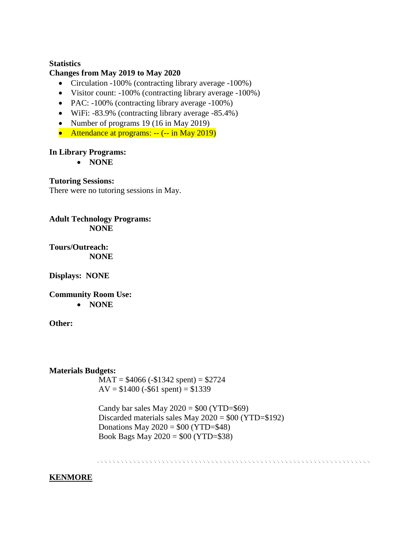#### **Statistics**

#### **Changes from May 2019 to May 2020**

- Circulation -100% (contracting library average -100%)
- Visitor count: -100% (contracting library average -100%)
- PAC: -100% (contracting library average -100%)
- WiFi: -83.9% (contracting library average -85.4%)
- Number of programs 19 (16 in May 2019)
- Attendance at programs: -- (-- in May 2019)

#### **In Library Programs:**

**NONE**

**Tutoring Sessions:**

There were no tutoring sessions in May.

**Adult Technology Programs: NONE**

**Tours/Outreach: NONE**

**Displays: NONE**

**Community Room Use:**

**NONE**

**Other:**

**Materials Budgets:**

 $MAT = $4066 (-1342 spent) = $2724$  $AV = $1400 (-$61 spent) = $1339$ 

Candy bar sales May  $2020 = $00 (YTD= $69)$ Discarded materials sales May 2020 = \$00 (YTD=\$192) Donations May  $2020 = $00 (YTD = $48)$ Book Bags May 2020 = \$00 (YTD=\$38)

# **KENMORE**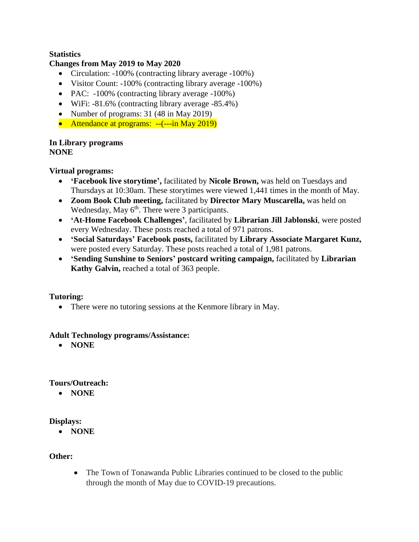# **Statistics**

## **Changes from May 2019 to May 2020**

- Circulation: -100% (contracting library average -100%)
- Visitor Count: -100% (contracting library average -100%)
- PAC: -100% (contracting library average -100%)
- WiFi: -81.6% (contracting library average -85.4%)
- Number of programs: 31 (48 in May 2019)
- Attendance at programs: --(---in May 2019)

#### **In Library programs NONE**

# **Virtual programs:**

- **'Facebook live storytime',** facilitated by **Nicole Brown,** was held on Tuesdays and Thursdays at 10:30am. These storytimes were viewed 1,441 times in the month of May.
- **Zoom Book Club meeting,** facilitated by **Director Mary Muscarella,** was held on Wednesday, May  $6<sup>th</sup>$ . There were 3 participants.
- **'At-Home Facebook Challenges'**, facilitated by **Librarian Jill Jablonski**, were posted every Wednesday. These posts reached a total of 971 patrons.
- **'Social Saturdays' Facebook posts,** facilitated by **Library Associate Margaret Kunz,**  were posted every Saturday. These posts reached a total of 1,981 patrons.
- **'Sending Sunshine to Seniors' postcard writing campaign,** facilitated by **Librarian Kathy Galvin,** reached a total of 363 people.

# **Tutoring:**

• There were no tutoring sessions at the Kenmore library in May.

#### **Adult Technology programs/Assistance:**

**NONE**

#### **Tours/Outreach:**

**NONE**

# **Displays:**

**NONE**

# **Other:**

• The Town of Tonawanda Public Libraries continued to be closed to the public through the month of May due to COVID-19 precautions.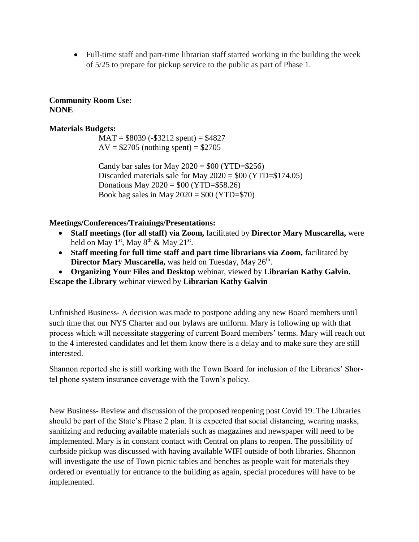Full-time staff and part-time librarian staff started working in the building the week of 5/25 to prepare for pickup service to the public as part of Phase 1.

## **Community Room Use: NONE**

## **Materials Budgets:**

 $MAT = $8039 (-$3212 spent) = $4827$  $AV = $2705$  (nothing spent) = \$2705

Candy bar sales for May  $2020 = $00$  (YTD= $$256$ ) Discarded materials sale for May  $2020 = $00$  (YTD= $$174.05$ ) Donations May  $2020 = $00 (YTD = $58.26)$ Book bag sales in May  $2020 = $00$  (YTD= $$70$ )

## **Meetings/Conferences/Trainings/Presentations:**

- **Staff meetings (for all staff) via Zoom,** facilitated by **Director Mary Muscarella,** were held on May 1<sup>st</sup>, May  $8^{th}$  & May  $21^{st}$ .
- Staff meeting for full time staff and part time librarians via Zoom, facilitated by Director Mary Muscarella, was held on Tuesday, May 26<sup>th</sup>.
- **Organizing Your Files and Desktop** webinar, viewed by **Librarian Kathy Galvin.**

**Escape the Library** webinar viewed by **Librarian Kathy Galvin**

Unfinished Business- A decision was made to postpone adding any new Board members until such time that our NYS Charter and our bylaws are uniform. Mary is following up with that process which will necessitate staggering of current Board members' terms. Mary will reach out to the 4 interested candidates and let them know there is a delay and to make sure they are still interested.

Shannon reported she is still working with the Town Board for inclusion of the Libraries' Shortel phone system insurance coverage with the Town's policy.

New Business- Review and discussion of the proposed reopening post Covid 19. The Libraries should be part of the State's Phase 2 plan. It is expected that social distancing, wearing masks, sanitizing and reducing available materials such as magazines and newspaper will need to be implemented. Mary is in constant contact with Central on plans to reopen. The possibility of curbside pickup was discussed with having available WIFI outside of both libraries. Shannon will investigate the use of Town picnic tables and benches as people wait for materials they ordered or eventually for entrance to the building as again, special procedures will have to be implemented.